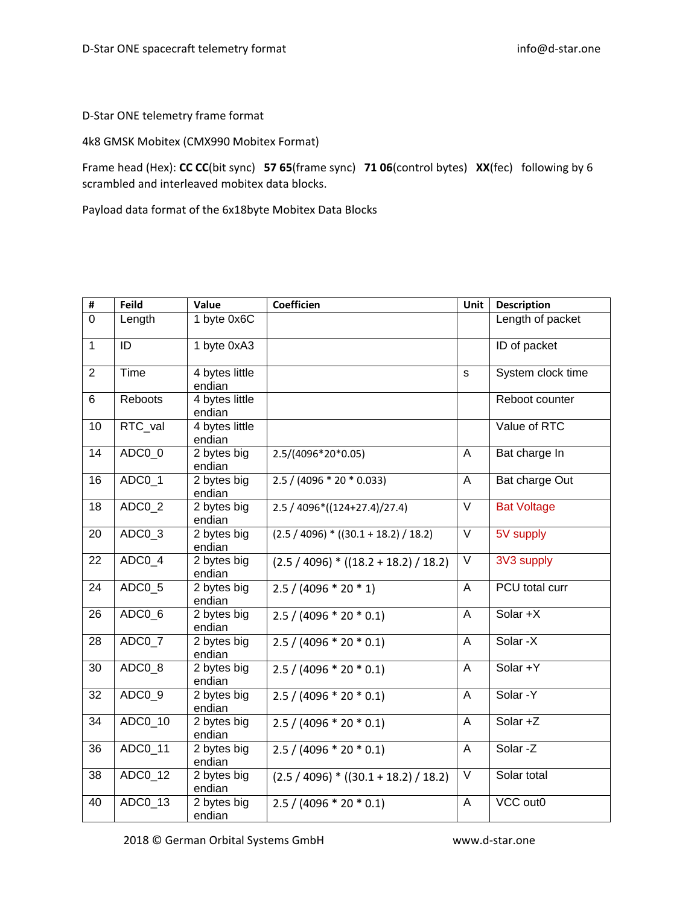D-Star ONE telemetry frame format

4k8 GMSK Mobitex (CMX990 Mobitex Format)

Frame head (Hex): **CC CC**(bit sync) **57 65**(frame sync) **71 06**(control bytes) **XX**(fec) following by 6 scrambled and interleaved mobitex data blocks.

Payload data format of the 6x18byte Mobitex Data Blocks

| #               | <b>Feild</b>          | Value                    | <b>Coefficien</b>                       | Unit              | <b>Description</b> |
|-----------------|-----------------------|--------------------------|-----------------------------------------|-------------------|--------------------|
| $\overline{0}$  | Length                | 1 byte 0x6C              |                                         |                   | Length of packet   |
| $\overline{1}$  | ID                    | 1 byte 0xA3              |                                         |                   | ID of packet       |
| $\overline{2}$  | Time                  | 4 bytes little<br>endian |                                         | s                 | System clock time  |
| 6               | Reboots               | 4 bytes little<br>endian |                                         |                   | Reboot counter     |
| 10              | RTC_val               | 4 bytes little<br>endian |                                         |                   | Value of RTC       |
| 14              | ADC0 0                | 2 bytes big<br>endian    | 2.5/(4096*20*0.05)                      | A                 | Bat charge In      |
| 16              | ADC0_1                | 2 bytes big<br>endian    | $2.5 / (4096 * 20 * 0.033)$             | $\overline{A}$    | Bat charge Out     |
| 18              | ADC0_2                | 2 bytes big<br>endian    | $2.5 / 4096*(124+27.4)/27.4)$           | $\overline{\vee}$ | <b>Bat Voltage</b> |
| 20              | $ADC0_3$              | 2 bytes big<br>endian    | $(2.5 / 4096) * ((30.1 + 18.2) / 18.2)$ | $\overline{\vee}$ | 5V supply          |
| 22              | ADC0_4                | 2 bytes big<br>endian    | $(2.5 / 4096) * ((18.2 + 18.2) / 18.2)$ | $\vee$            | 3V3 supply         |
| 24              | ADC0_5                | 2 bytes big<br>endian    | $2.5 / (4096 * 20 * 1)$                 | A                 | PCU total curr     |
| 26              | ADC0_6                | 2 bytes big<br>endian    | $2.5 / (4096 * 20 * 0.1)$               | A                 | Solar +X           |
| 28              | ADC0_7                | 2 bytes big<br>endian    | $2.5 / (4096 * 20 * 0.1)$               | A                 | Solar -X           |
| 30              | ADC0 8                | 2 bytes big<br>endian    | $2.5 / (4096 * 20 * 0.1)$               | A                 | Solar +Y           |
| $\overline{32}$ | ADC0_9                | 2 bytes big<br>endian    | $2.5 / (4096 * 20 * 0.1)$               | $\overline{A}$    | Solar - Y          |
| 34              | $\overline{ADC0}$ _10 | 2 bytes big<br>endian    | $2.5 / (4096 * 20 * 0.1)$               | A                 | Solar +Z           |
| 36              | ADC0_11               | 2 bytes big<br>endian    | $2.5 / (4096 * 20 * 0.1)$               | A                 | Solar-Z            |
| 38              | ADC0_12               | 2 bytes big<br>endian    | $(2.5 / 4096) * ((30.1 + 18.2) / 18.2)$ | $\vee$            | Solar total        |
| 40              | ADC0_13               | 2 bytes big<br>endian    | $2.5 / (4096 * 20 * 0.1)$               | A                 | VCC out0           |